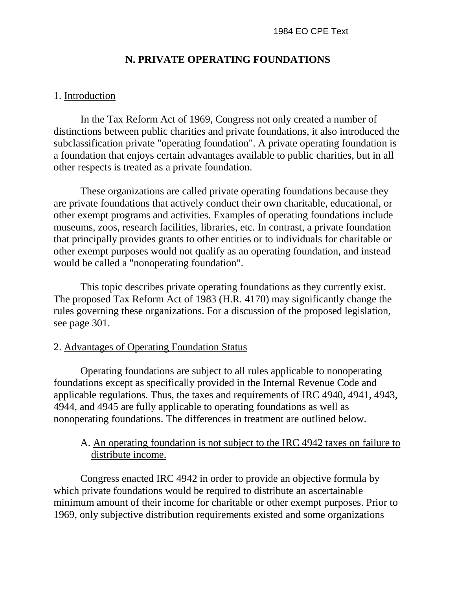### **N. PRIVATE OPERATING FOUNDATIONS**

#### 1. Introduction

In the Tax Reform Act of 1969, Congress not only created a number of distinctions between public charities and private foundations, it also introduced the subclassification private "operating foundation". A private operating foundation is a foundation that enjoys certain advantages available to public charities, but in all other respects is treated as a private foundation.

These organizations are called private operating foundations because they are private foundations that actively conduct their own charitable, educational, or other exempt programs and activities. Examples of operating foundations include museums, zoos, research facilities, libraries, etc. In contrast, a private foundation that principally provides grants to other entities or to individuals for charitable or other exempt purposes would not qualify as an operating foundation, and instead would be called a "nonoperating foundation".

This topic describes private operating foundations as they currently exist. The proposed Tax Reform Act of 1983 (H.R. 4170) may significantly change the rules governing these organizations. For a discussion of the proposed legislation, see page 301.

### 2. Advantages of Operating Foundation Status

Operating foundations are subject to all rules applicable to nonoperating foundations except as specifically provided in the Internal Revenue Code and applicable regulations. Thus, the taxes and requirements of IRC 4940, 4941, 4943, 4944, and 4945 are fully applicable to operating foundations as well as nonoperating foundations. The differences in treatment are outlined below.

### A. An operating foundation is not subject to the IRC 4942 taxes on failure to distribute income.

Congress enacted IRC 4942 in order to provide an objective formula by which private foundations would be required to distribute an ascertainable minimum amount of their income for charitable or other exempt purposes. Prior to 1969, only subjective distribution requirements existed and some organizations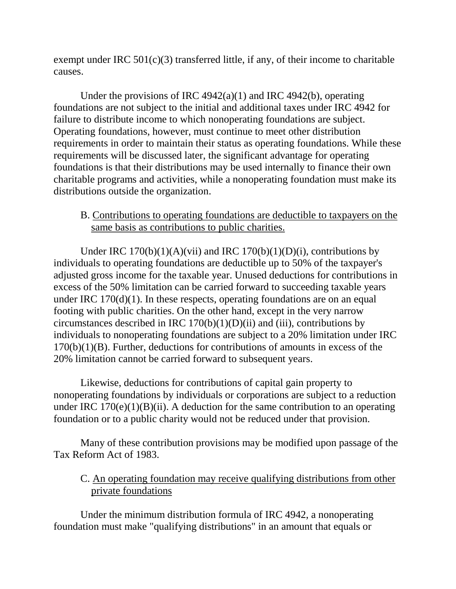exempt under IRC  $501(c)(3)$  transferred little, if any, of their income to charitable causes.

Under the provisions of IRC 4942(a)(1) and IRC 4942(b), operating foundations are not subject to the initial and additional taxes under IRC 4942 for failure to distribute income to which nonoperating foundations are subject. Operating foundations, however, must continue to meet other distribution requirements in order to maintain their status as operating foundations. While these requirements will be discussed later, the significant advantage for operating foundations is that their distributions may be used internally to finance their own charitable programs and activities, while a nonoperating foundation must make its distributions outside the organization.

### B. Contributions to operating foundations are deductible to taxpayers on the same basis as contributions to public charities.

Under IRC  $170(b)(1)(A)(vii)$  and IRC  $170(b)(1)(D)(i)$ , contributions by individuals to operating foundations are deductible up to 50% of the taxpayer's adjusted gross income for the taxable year. Unused deductions for contributions in excess of the 50% limitation can be carried forward to succeeding taxable years under IRC 170(d)(1). In these respects, operating foundations are on an equal footing with public charities. On the other hand, except in the very narrow circumstances described in IRC  $170(b)(1)(D)(ii)$  and (iii), contributions by individuals to nonoperating foundations are subject to a 20% limitation under IRC 170(b)(1)(B). Further, deductions for contributions of amounts in excess of the 20% limitation cannot be carried forward to subsequent years.

Likewise, deductions for contributions of capital gain property to nonoperating foundations by individuals or corporations are subject to a reduction under IRC  $170(e)(1)(B)(ii)$ . A deduction for the same contribution to an operating foundation or to a public charity would not be reduced under that provision.

Many of these contribution provisions may be modified upon passage of the Tax Reform Act of 1983.

# C. An operating foundation may receive qualifying distributions from other private foundations

Under the minimum distribution formula of IRC 4942, a nonoperating foundation must make "qualifying distributions" in an amount that equals or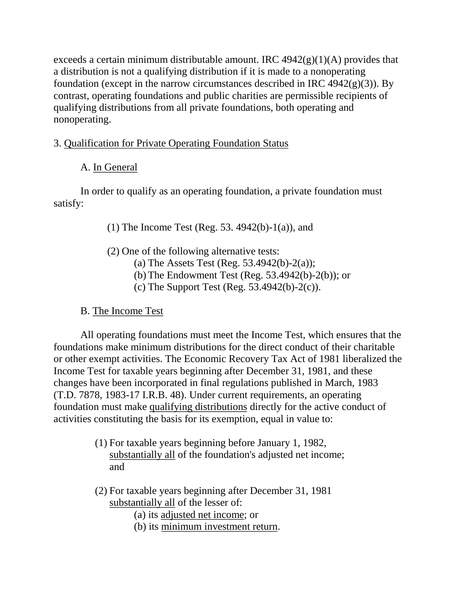exceeds a certain minimum distributable amount. IRC  $4942(g)(1)(A)$  provides that a distribution is not a qualifying distribution if it is made to a nonoperating foundation (except in the narrow circumstances described in IRC  $4942(g)(3)$ ). By contrast, operating foundations and public charities are permissible recipients of qualifying distributions from all private foundations, both operating and nonoperating.

# 3. Qualification for Private Operating Foundation Status

# A. In General

In order to qualify as an operating foundation, a private foundation must satisfy:

- (1) The Income Test (Reg. 53. 4942(b)-1(a)), and
- (2) One of the following alternative tests:
	- (a) The Assets Test (Reg. 53.4942(b)-2(a));
	- (b) The Endowment Test (Reg. 53.4942(b)-2(b)); or
	- (c) The Support Test (Reg.  $53.4942(b)-2(c)$ ).

# B. The Income Test

All operating foundations must meet the Income Test, which ensures that the foundations make minimum distributions for the direct conduct of their charitable or other exempt activities. The Economic Recovery Tax Act of 1981 liberalized the Income Test for taxable years beginning after December 31, 1981, and these changes have been incorporated in final regulations published in March, 1983 (T.D. 7878, 1983-17 I.R.B. 48). Under current requirements, an operating foundation must make qualifying distributions directly for the active conduct of activities constituting the basis for its exemption, equal in value to:

- (1) For taxable years beginning before January 1, 1982, substantially all of the foundation's adjusted net income; and
- (2) For taxable years beginning after December 31, 1981 substantially all of the lesser of:
	- (a) its adjusted net income; or
	- (b) its minimum investment return.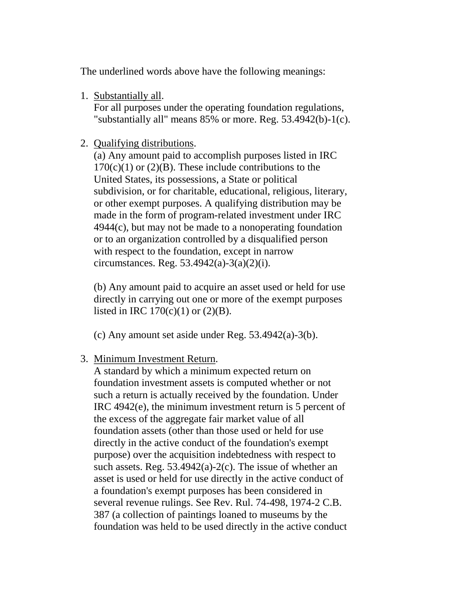The underlined words above have the following meanings:

1. Substantially all.

For all purposes under the operating foundation regulations, "substantially all" means 85% or more. Reg. 53.4942(b)-1(c).

2. Qualifying distributions.

(a) Any amount paid to accomplish purposes listed in IRC  $170(c)(1)$  or  $(2)(B)$ . These include contributions to the United States, its possessions, a State or political subdivision, or for charitable, educational, religious, literary, or other exempt purposes. A qualifying distribution may be made in the form of program-related investment under IRC 4944(c), but may not be made to a nonoperating foundation or to an organization controlled by a disqualified person with respect to the foundation, except in narrow circumstances. Reg.  $53.4942(a)-3(a)(2)(i)$ .

(b) Any amount paid to acquire an asset used or held for use directly in carrying out one or more of the exempt purposes listed in IRC  $170(c)(1)$  or  $(2)(B)$ .

(c) Any amount set aside under Reg.  $53.4942(a) - 3(b)$ .

3. Minimum Investment Return.

A standard by which a minimum expected return on foundation investment assets is computed whether or not such a return is actually received by the foundation. Under IRC 4942(e), the minimum investment return is 5 percent of the excess of the aggregate fair market value of all foundation assets (other than those used or held for use directly in the active conduct of the foundation's exempt purpose) over the acquisition indebtedness with respect to such assets. Reg. 53.4942(a)-2(c). The issue of whether an asset is used or held for use directly in the active conduct of a foundation's exempt purposes has been considered in several revenue rulings. See Rev. Rul. 74-498, 1974-2 C.B. 387 (a collection of paintings loaned to museums by the foundation was held to be used directly in the active conduct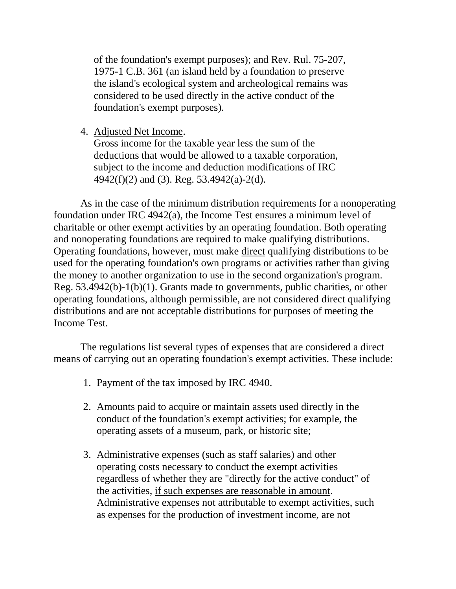of the foundation's exempt purposes); and Rev. Rul. 75-207, 1975-1 C.B. 361 (an island held by a foundation to preserve the island's ecological system and archeological remains was considered to be used directly in the active conduct of the foundation's exempt purposes).

4. Adjusted Net Income.

Gross income for the taxable year less the sum of the deductions that would be allowed to a taxable corporation, subject to the income and deduction modifications of IRC 4942(f)(2) and (3). Reg. 53.4942(a)-2(d).

As in the case of the minimum distribution requirements for a nonoperating foundation under IRC 4942(a), the Income Test ensures a minimum level of charitable or other exempt activities by an operating foundation. Both operating and nonoperating foundations are required to make qualifying distributions. Operating foundations, however, must make direct qualifying distributions to be used for the operating foundation's own programs or activities rather than giving the money to another organization to use in the second organization's program. Reg. 53.4942(b)-1(b)(1). Grants made to governments, public charities, or other operating foundations, although permissible, are not considered direct qualifying distributions and are not acceptable distributions for purposes of meeting the Income Test.

The regulations list several types of expenses that are considered a direct means of carrying out an operating foundation's exempt activities. These include:

- 1. Payment of the tax imposed by IRC 4940.
- 2. Amounts paid to acquire or maintain assets used directly in the conduct of the foundation's exempt activities; for example, the operating assets of a museum, park, or historic site;
- 3. Administrative expenses (such as staff salaries) and other operating costs necessary to conduct the exempt activities regardless of whether they are "directly for the active conduct" of the activities, if such expenses are reasonable in amount. Administrative expenses not attributable to exempt activities, such as expenses for the production of investment income, are not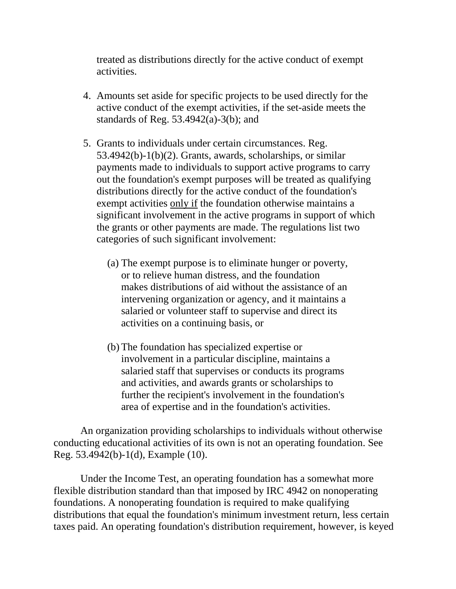treated as distributions directly for the active conduct of exempt activities.

- 4. Amounts set aside for specific projects to be used directly for the active conduct of the exempt activities, if the set-aside meets the standards of Reg.  $53.4942(a) - 3(b)$ ; and
- 5. Grants to individuals under certain circumstances. Reg. 53.4942(b)-1(b)(2). Grants, awards, scholarships, or similar payments made to individuals to support active programs to carry out the foundation's exempt purposes will be treated as qualifying distributions directly for the active conduct of the foundation's exempt activities only if the foundation otherwise maintains a significant involvement in the active programs in support of which the grants or other payments are made. The regulations list two categories of such significant involvement:
	- (a) The exempt purpose is to eliminate hunger or poverty, or to relieve human distress, and the foundation makes distributions of aid without the assistance of an intervening organization or agency, and it maintains a salaried or volunteer staff to supervise and direct its activities on a continuing basis, or
	- (b) The foundation has specialized expertise or involvement in a particular discipline, maintains a salaried staff that supervises or conducts its programs and activities, and awards grants or scholarships to further the recipient's involvement in the foundation's area of expertise and in the foundation's activities.

An organization providing scholarships to individuals without otherwise conducting educational activities of its own is not an operating foundation. See Reg. 53.4942(b)-1(d), Example (10).

Under the Income Test, an operating foundation has a somewhat more flexible distribution standard than that imposed by IRC 4942 on nonoperating foundations. A nonoperating foundation is required to make qualifying distributions that equal the foundation's minimum investment return, less certain taxes paid. An operating foundation's distribution requirement, however, is keyed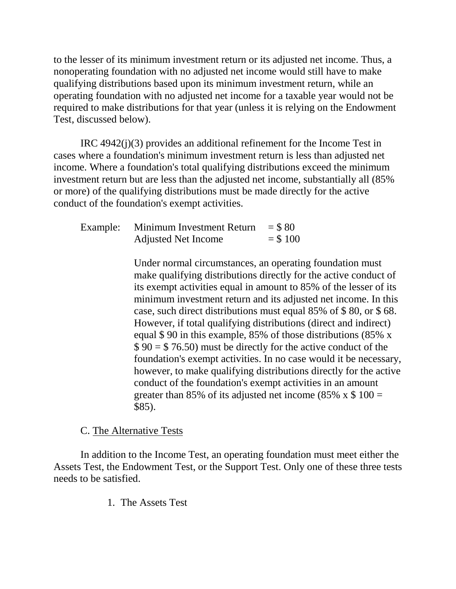to the lesser of its minimum investment return or its adjusted net income. Thus, a nonoperating foundation with no adjusted net income would still have to make qualifying distributions based upon its minimum investment return, while an operating foundation with no adjusted net income for a taxable year would not be required to make distributions for that year (unless it is relying on the Endowment Test, discussed below).

IRC 4942(j)(3) provides an additional refinement for the Income Test in cases where a foundation's minimum investment return is less than adjusted net income. Where a foundation's total qualifying distributions exceed the minimum investment return but are less than the adjusted net income, substantially all (85% or more) of the qualifying distributions must be made directly for the active conduct of the foundation's exempt activities.

| Example: Minimum Investment Return | $= $80$    |
|------------------------------------|------------|
| <b>Adjusted Net Income</b>         | $=$ \$ 100 |

Under normal circumstances, an operating foundation must make qualifying distributions directly for the active conduct of its exempt activities equal in amount to 85% of the lesser of its minimum investment return and its adjusted net income. In this case, such direct distributions must equal 85% of \$ 80, or \$ 68. However, if total qualifying distributions (direct and indirect) equal \$ 90 in this example, 85% of those distributions (85% x  $$ 90 = $ 76.50$  must be directly for the active conduct of the foundation's exempt activities. In no case would it be necessary, however, to make qualifying distributions directly for the active conduct of the foundation's exempt activities in an amount greater than 85% of its adjusted net income (85% x  $$100 =$ \$85).

#### C. The Alternative Tests

In addition to the Income Test, an operating foundation must meet either the Assets Test, the Endowment Test, or the Support Test. Only one of these three tests needs to be satisfied.

1. The Assets Test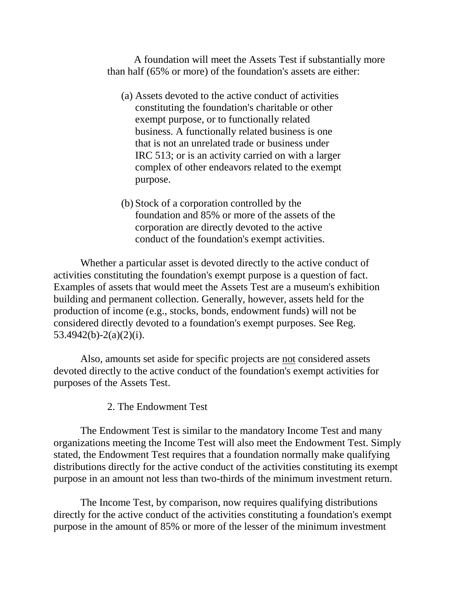A foundation will meet the Assets Test if substantially more than half (65% or more) of the foundation's assets are either:

- (a) Assets devoted to the active conduct of activities constituting the foundation's charitable or other exempt purpose, or to functionally related business. A functionally related business is one that is not an unrelated trade or business under IRC 513; or is an activity carried on with a larger complex of other endeavors related to the exempt purpose.
- (b) Stock of a corporation controlled by the foundation and 85% or more of the assets of the corporation are directly devoted to the active conduct of the foundation's exempt activities.

Whether a particular asset is devoted directly to the active conduct of activities constituting the foundation's exempt purpose is a question of fact. Examples of assets that would meet the Assets Test are a museum's exhibition building and permanent collection. Generally, however, assets held for the production of income (e.g., stocks, bonds, endowment funds) will not be considered directly devoted to a foundation's exempt purposes. See Reg. 53.4942(b)-2(a)(2)(i).

Also, amounts set aside for specific projects are not considered assets devoted directly to the active conduct of the foundation's exempt activities for purposes of the Assets Test.

2. The Endowment Test

The Endowment Test is similar to the mandatory Income Test and many organizations meeting the Income Test will also meet the Endowment Test. Simply stated, the Endowment Test requires that a foundation normally make qualifying distributions directly for the active conduct of the activities constituting its exempt purpose in an amount not less than two-thirds of the minimum investment return.

The Income Test, by comparison, now requires qualifying distributions directly for the active conduct of the activities constituting a foundation's exempt purpose in the amount of 85% or more of the lesser of the minimum investment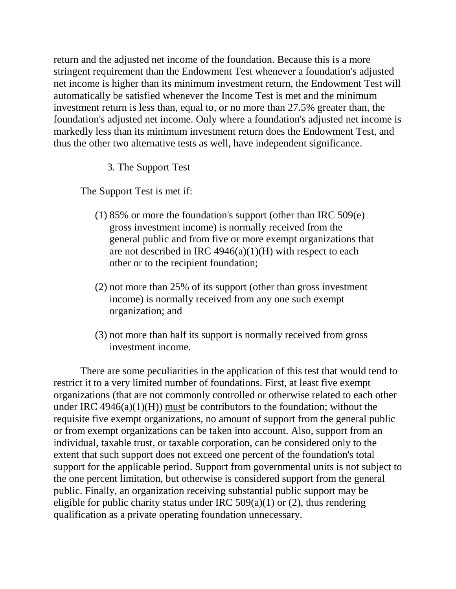return and the adjusted net income of the foundation. Because this is a more stringent requirement than the Endowment Test whenever a foundation's adjusted net income is higher than its minimum investment return, the Endowment Test will automatically be satisfied whenever the Income Test is met and the minimum investment return is less than, equal to, or no more than 27.5% greater than, the foundation's adjusted net income. Only where a foundation's adjusted net income is markedly less than its minimum investment return does the Endowment Test, and thus the other two alternative tests as well, have independent significance.

3. The Support Test

The Support Test is met if:

- (1) 85% or more the foundation's support (other than IRC 509(e) gross investment income) is normally received from the general public and from five or more exempt organizations that are not described in IRC  $4946(a)(1)(H)$  with respect to each other or to the recipient foundation;
- (2) not more than 25% of its support (other than gross investment income) is normally received from any one such exempt organization; and
- (3) not more than half its support is normally received from gross investment income.

There are some peculiarities in the application of this test that would tend to restrict it to a very limited number of foundations. First, at least five exempt organizations (that are not commonly controlled or otherwise related to each other under IRC  $4946(a)(1)(H)$  must be contributors to the foundation; without the requisite five exempt organizations, no amount of support from the general public or from exempt organizations can be taken into account. Also, support from an individual, taxable trust, or taxable corporation, can be considered only to the extent that such support does not exceed one percent of the foundation's total support for the applicable period. Support from governmental units is not subject to the one percent limitation, but otherwise is considered support from the general public. Finally, an organization receiving substantial public support may be eligible for public charity status under IRC  $509(a)(1)$  or (2), thus rendering qualification as a private operating foundation unnecessary.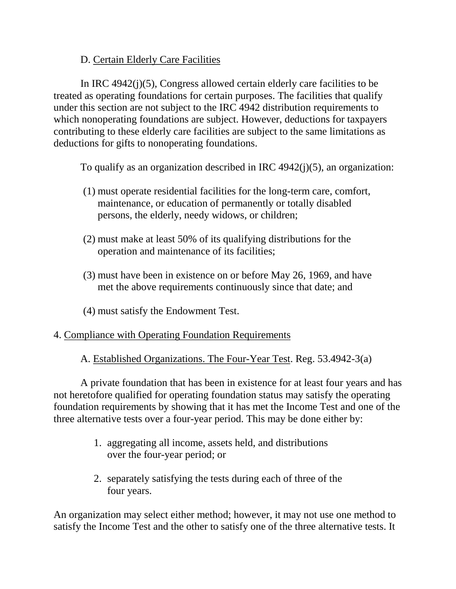## D. Certain Elderly Care Facilities

In IRC 4942(j)(5), Congress allowed certain elderly care facilities to be treated as operating foundations for certain purposes. The facilities that qualify under this section are not subject to the IRC 4942 distribution requirements to which nonoperating foundations are subject. However, deductions for taxpayers contributing to these elderly care facilities are subject to the same limitations as deductions for gifts to nonoperating foundations.

To qualify as an organization described in IRC 4942(j)(5), an organization:

- (1) must operate residential facilities for the long-term care, comfort, maintenance, or education of permanently or totally disabled persons, the elderly, needy widows, or children;
- (2) must make at least 50% of its qualifying distributions for the operation and maintenance of its facilities;
- (3) must have been in existence on or before May 26, 1969, and have met the above requirements continuously since that date; and
- (4) must satisfy the Endowment Test.

### 4. Compliance with Operating Foundation Requirements

A. Established Organizations. The Four-Year Test. Reg. 53.4942-3(a)

A private foundation that has been in existence for at least four years and has not heretofore qualified for operating foundation status may satisfy the operating foundation requirements by showing that it has met the Income Test and one of the three alternative tests over a four-year period. This may be done either by:

- 1. aggregating all income, assets held, and distributions over the four-year period; or
- 2. separately satisfying the tests during each of three of the four years.

An organization may select either method; however, it may not use one method to satisfy the Income Test and the other to satisfy one of the three alternative tests. It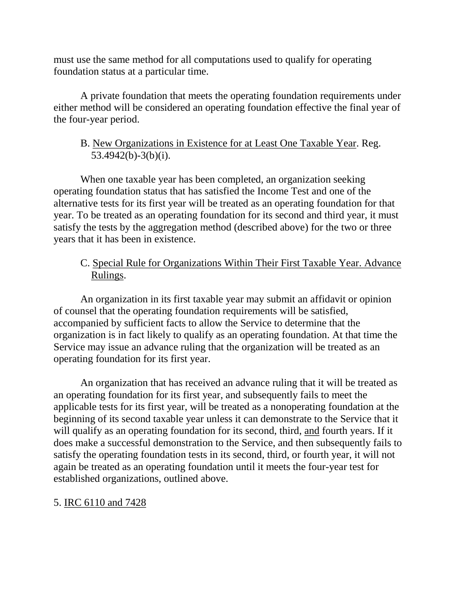must use the same method for all computations used to qualify for operating foundation status at a particular time.

A private foundation that meets the operating foundation requirements under either method will be considered an operating foundation effective the final year of the four-year period.

# B. New Organizations in Existence for at Least One Taxable Year. Reg. 53.4942(b)-3(b)(i).

When one taxable year has been completed, an organization seeking operating foundation status that has satisfied the Income Test and one of the alternative tests for its first year will be treated as an operating foundation for that year. To be treated as an operating foundation for its second and third year, it must satisfy the tests by the aggregation method (described above) for the two or three years that it has been in existence.

# C. Special Rule for Organizations Within Their First Taxable Year. Advance Rulings.

An organization in its first taxable year may submit an affidavit or opinion of counsel that the operating foundation requirements will be satisfied, accompanied by sufficient facts to allow the Service to determine that the organization is in fact likely to qualify as an operating foundation. At that time the Service may issue an advance ruling that the organization will be treated as an operating foundation for its first year.

An organization that has received an advance ruling that it will be treated as an operating foundation for its first year, and subsequently fails to meet the applicable tests for its first year, will be treated as a nonoperating foundation at the beginning of its second taxable year unless it can demonstrate to the Service that it will qualify as an operating foundation for its second, third, and fourth years. If it does make a successful demonstration to the Service, and then subsequently fails to satisfy the operating foundation tests in its second, third, or fourth year, it will not again be treated as an operating foundation until it meets the four-year test for established organizations, outlined above.

# 5. IRC 6110 and 7428